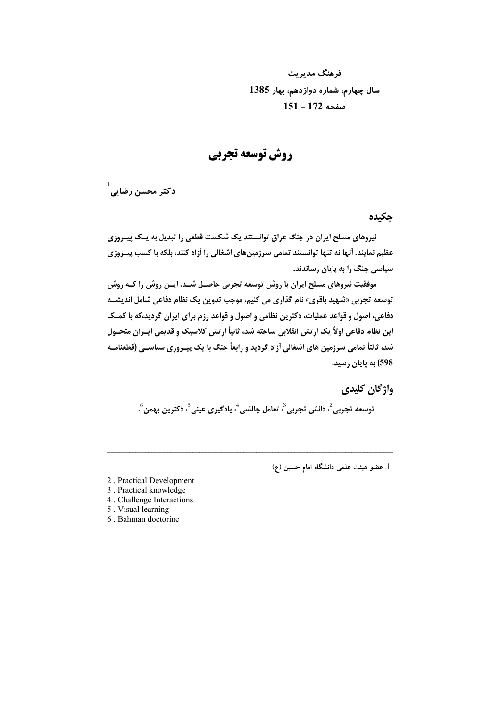فرهنگ مدیریت سال چهارم، شماره دوازدهم، بهار 1385 صفحه 172 - 151

روش توسعه تجربي

 $\frac{1}{\sqrt{2}}$ دكتر محسن رضايي

حكىدە

نیروهای مسلح ایران در جنگ عراق توانستند یک شکست قطعی را تبدیل به یــک پیــروزی عظیم نمایند. اَنها نه تنها توانستند تمامی سرزمینهای اشغالی را اَزاد کنند، بلکه با کسب پیـروزی سیاسی جنگ را به پایان رساندند.

موفقیت نیروهای مسلح ایران با روش توسعه تجربی حاصـل شـد. ایـن روش را کـه روش توسعه تجربي «شهيد باقري» نام گذاري مي كنيم، موجب تدوين يک نظام دفاعي شامل انديشـه دفاعی، اصول و قواعد عملیات، دکترین نظامی و اصول و قواعد رزم برای ایران گردید،که با کمــک این نظام دفاعی اولاً یک ارتش انقلابی ساخته شد، ثانیاً ارتش کلاسیک و قدیمی ایـران متحـول شد، ثالثاً تمامی سرزمین های اشغالی آزاد گردید و رابعاً جنگ با یک پیـروزی سیاسـی (قطعنامـه 598) به پایان رسید.

واژگان کلیدی

توسعه تجربي ً، دانش تجربي ً، تعامل چالشي ً، يادگيري عيني ً، دكترين بهمن <sup>6</sup>.

1. عضو هيئت علمي دانشگاه امام حسين (ع)

2. Practical Development

- 3. Practical knowledge
- 4. Challenge Interactions
- 5. Visual learning
- 6. Bahman doctorine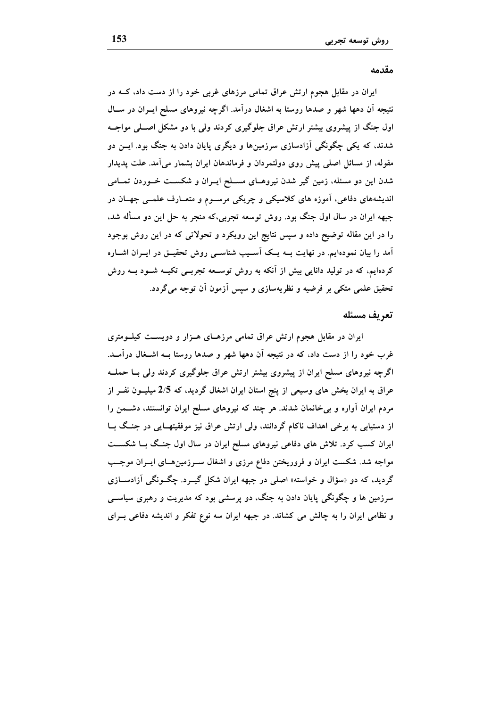### مقدمه

ایران در مقابل هجوم ارتش عراق تمامی مرزهای غربی خود را از دست داد، کــه در نتیجه آن دهها شهر و صدها روستا به اشغال درآمد. اگرچه نیروهای مسلح ایــران در ســال اول جنگ از پیشروی بیشتر ارتش عراق جلوگیری کردند ولی با دو مشکل اصـلی مواجــه شدند، که یکی چگونگی آزادسازی سرزمینها و دیگری پایان دادن به جنگ بود. ایــن دو مقوله، از مسائل اصلی پیش روی دولتمردان و فرماندهان ایران بشمار میآمد. علت پدیدار شدن این دو مسئله، زمین گیر شدن نیروهـای مسـلح ایـران و شکســت خــوردن تمــامی اندیشههای دفاعی، آموزه های کلاسیکی و چریکی مرسـوم و متعـارف علمــی جهــان در جبهه ايران در سال اول جنگ بود. روش توسعه تجربي،كه منجر به حل اين دو مسأله شد، را در این مقاله توضیح داده و سپس نتایج این رویکرد و تحولاتی که در این روش بوجود آمد را بیان نمودهایم. در نهایت بــه یــک آســیب شناســی روش تحقیــق در ایــران اشــاره کردهایم، که در تولید دانایی بیش از آنکه به روش توسـعه تجربــی تکیــه شــود بــه روش تحقیق علمی متکی بر فرضیه و نظریهسازی و سپس آزمون آن توجه میگردد.

#### تعريف مسئله

ایران در مقابل هجوم ارتش عراق تمامی مرزهـای هـزار و دویســت کیلــومتری غرب خود را از دست داد، که در نتیجه آن دهها شهر و صدها روستا بــه اشــغال درآمــد. اگرچه نیروهای مسلح ایران از پیشروی بیشتر ارتش عراق جلوگیری کردند ولی بــا حملــه عراق به ایران بخش های وسیعی از پنج استان ایران اشغال گردید، که 2/5 میلیــون نفــر از مردم ایران آواره و بیخانمان شدند. هر چند که نیروهای مسلح ایران توانستند، دشــمن را از دستیابی به برخی اهداف ناکام گردانند، ولی ارتش عراق نیز موفقیتهـایی در جنـگ بــا ایران کسب کرد. تلاش های دفاعی نیروهای مسلح ایران در سال اول جنگ بـا شکســت مواجه شد. شکست ایران و فروریختن دفاع مرزی و اشغال سـرزمینهـای ایـران موجـب گردید، که دو «سؤال و خواسته» اصلی در جبهه ایران شکل گیــرد. چگــونگی آزادســازی سرزمین ها و چگونگی پایان دادن به جنگ، دو پرسشی بود که مدیریت و رهبری سیاســی و نظامی ایران را به چالش می کشاند. در جبهه ایران سه نوع تفکر و اندیشه دفاعی بـرای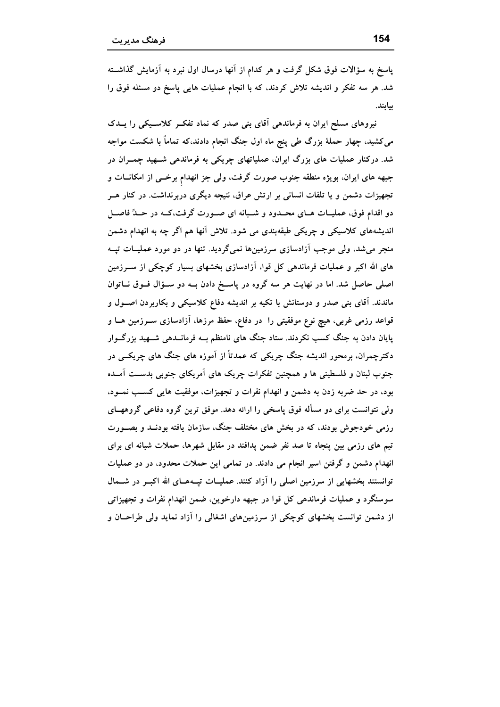پاسخ به سؤالات فوق شکل گرفت و هر کدام از آنها درسال اول نبرد به آزمایش گذاشــته شد. هر سه تفکر و اندیشه تلاش کردند، که با انجام عملیات هایی پاسخ دو مسئله فوق را بيابند.

نیروهای مسلح ایران به فرماندهی آقای بنی صدر که نماد تفکـر کلاسـیکی را پــدک می کشید، چهار حملهٔ بزرگ طی پنج ماه اول جنگ انجام دادند،که تماماً با شکست مواجه شد. درکنار عملیات های بزرگ ایران، عملیاتهای چریکی به فرماندهی شــهید چمــران در جبهه های ایران، بویژه منطقه جنوب صورت گرفت، ولی جز انهدام برخــی از امکانــات و تجهیزات دشمن و یا تلفات انسانی بر ارتش عراق، نتیجه دیگری دربرنداشت. در کنار هــر دو اقدام فوق، عملیـات هـای محـدود و شـبانه ای صـورت گرفت،کـه در حـدٌّ فاصـل اندیشههای کلاسیکی و چریکی طبقهبندی می شود. تلاش آنها هم اگر چه به انهدام دشمن منجر میشد، ولی موجب آزادسازی سرزمینها نمیگردید. تنها در دو مورد عملیــات تپــه های الله اکبر و عملیات فرماندهی کل قوا، آزادسازی بخشهای بسیار کوچکی از ســرزمین اصلی حاصل شد. اما در نهایت هر سه گروه در پاسخ دادن بـه دو سـؤال فـوق نــاتوان ماندند. آقای بنی صدر و دوستانش با تکیه بر اندیشه دفاع کلاسیکی و بکاربردن اصــول و قواعد رزمی غربی، هیچ نوع موفقیتی را ً در دفاع، حفظ مرزها، آزادسازی ســرزمین هــا و پایان دادن به جنگ کسب نکردند. ستاد جنگ های نامنظم بــه فرمانــدهی شـــهید بزرگـــوار دکترچمران، برمحور اندیشه جنگ چریکی که عمدتاً از آموزه های جنگ های چریکــی در جنوب لبنان و فلسطینی ها و همچنین تفکرات چریک های آمریکای جنوبی بدست آمـده بود، در حد ضربه زدن به دشمن و انهدام نفرات و تجهیزات، موفقیت هایی کسب نمـود، ولی نتوانست برای دو مسأله فوق پاسخی را ارائه دهد. موفق ترین گروه دفاعی گروههــای رزمی خودجوش بودند، که در بخش های مختلف جنگ، سازمان یافته بودنــد و بصــورت تیم های رزمی بین پنجاه تا صد نفر ضمن پدافند در مقابل شهرها، حملات شبانه ای برای انهدام دشمن و گرفتن اسیر انجام می دادند. در تمامی این حملات محدود، در دو عملیات توانستند بخشهایی از سرزمین اصلی را آزاد کنند. عملیـات تپــههــای الله اکبــر در شـــمال سوسنگرد و عملیات فرماندهی کل قوا در جبهه دارخوین، ضمن انهدام نفرات و تجهیزاتی از دشمن توانست بخشهای کوچکی از سرزمینهای اشغالی را آزاد نماید ولی طراحــان و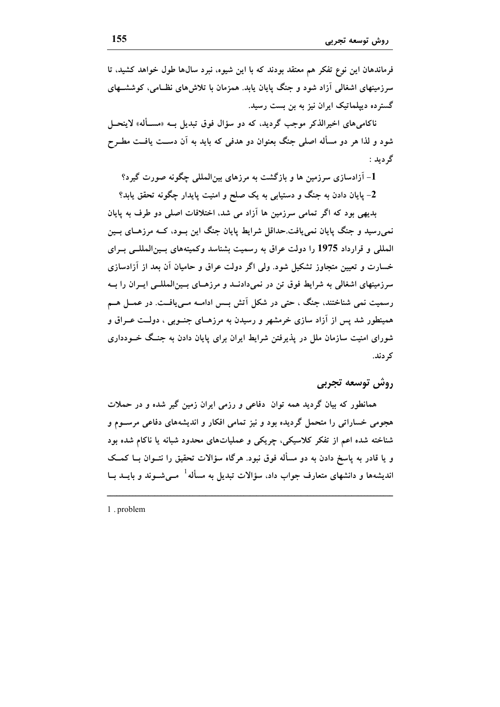فرماندهان این نوع تفکر هم معتقد بودند که با این شیوه، نبرد سال&ا طول خواهد کشید، تا سرزمینهای اشغالی آزاد شود و جنگ پایان پابد. همزمان با تلاش های نظـامی، کوششــهای گسترده دیپلماتیک ایران نیز به بن بست رسید.

ناکامیهای اخیرالذکر موجب گردید، که دو سؤال فوق تبدیل بــه «مســأله» لاینحــل شود و لذا هر دو مسأله اصلی جنگ بعنوان دو هدفی که باید به آن دسـت یافـت مطــرح گر دید :

1- آزادسازی سرزمین ها و بازگشت به مرزهای بینالمللی چگونه صورت گیرد؟

2- پایان دادن به جنگ و دستیابی به یک صلح و امنیت پایدار چگونه تحقق یابد؟

بدیهی بود که اگر تمامی سرزمین ها آزاد می شد، اختلافات اصلی دو طرف به پایان نمیرسید و جنگ پایان نمییافت.حداقل شرایط پایان جنگ این بــود، کــه مرزهــای بــین المللی و قرارداد 1975 را دولت عراق به رسمیت بشناسد وکمیتههای بسینالمللــی بــرای خسارت و تعیین متجاوز تشکیل شود. ولی اگر دولت عراق و حامیان اَن بعد از اَزادسازی سرزمینهای اشغالی به شرایط فوق تن در نمی،دادنــد و مرزهــای بــینالمللــی ایــران را بــه رسمیت نمی شناختند، جنگ ، حتی در شکل آتش بــس ادامــه مــییافــت. در عمــل هــم همینطور شد پس از آزاد سازی خرمشهر و رسیدن به مرزهـای جنــوبی ، دولــت عــراق و شورای امنیت سازمان ملل در پذیرفتن شرایط ایران برای پایان دادن به جنـگ خــودداری کر دند.

## روش توسعه تجربي

همانطور که بیان گردید همه توان دفاعی و رزمی ایران زمین گیر شده و در حملات هجومی خساراتی را متحمل گردیده بود و نیز تمامی افکار و اندیشههای دفاعی مرسـوم و شناخته شده اعم از تفکر کلاسیکی، چریکی و عملیاتهای محدود شبانه یا ناکام شده بود و یا قادر به پاسخ دادن به دو مسأله فوق نبود. هرگاه سؤالات تحقیق را نتــوان بــا کمــک اندیشهها و دانشهای متعارف جواب داد، سؤالات تبدیل به مسأله<sup>1</sup> مــیشــوند و بایــد بــا

1. problem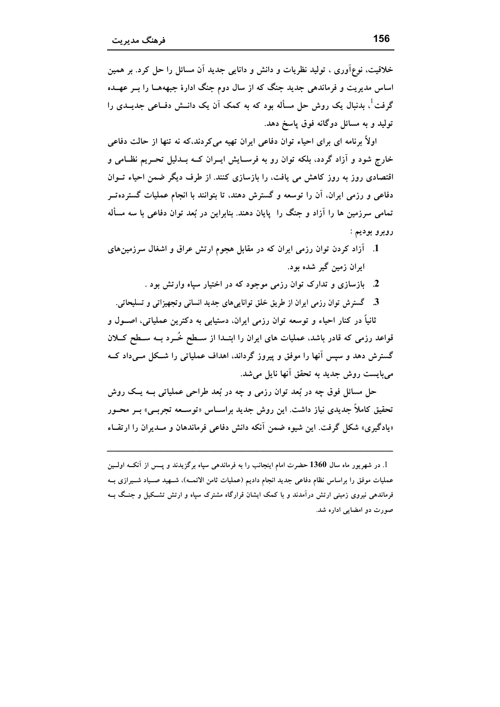خلاقیت، نوعآوری ، تولید نظریات و دانش و دانایی جدید آن مسائل را حل کرد. بر همین اساس مدیریت و فرماندهی جدید جنگ که از سال دوم جنگ ادارهٔ جبهههــا را بــر عهــده گرفت ٔ، بدنبال یک روش حل مسأله بود که به کمک آن یک دانــش دفــاعی جدیــدی را تولید و به مسائل دوگانه فوق پاسخ دهد.

اولاً برنامه ای برای احیاء توان دفاعی ایران تهیه میکردند،که نه تنها از حالت دفاعی خارج شود و آزاد گردد، بلکه توان رو به فرسـایش ایــران کــه بــدلیل تحــریم نظــامی و اقتصادی روز به روز کاهش می یافت، را بازسازی کنند. از طرف دیگر ضمن احیاء تــوان دفاعی و رزمی ایران، آن را توسعه و گسترش دهند، تا بتوانند با انجام عملیات گسترده تــر تمامی سرزمین ها را آزاد و جنگ را پایان دهند. بنابراین در بُعد توان دفاعی با سه مسأله روبرو بوديم :

- 1. آزاد کردن توان رزمی ایران که در مقابل هجوم ارتش عراق و اشغال سرزمینهای ایران زمین گیر شده بود.
	- 2. بازسازی و تدارک توان رزمی موجود که در اختیار سیاه وارتش بود .
	- 3. گسترش توان رزمی ایران از طریق خلق تواناییهای جدید انسانی وتجهیزاتی و تسلیحاتی.

ثانياً در كنار احياء و توسعه توان رزمي ايران، دستيابي به دكترين عملياتي، اصــول و قواعد رزمی که قادر باشد، عملیات های ایران را ابتــدا از ســطح خُــرد بــه ســطح کـــلان گسترش دهد و سپس آنها را موفق و پیروز گرداند، اهداف عملیاتی را شـکل مـیداد کــه می بایست روش جدید به تحقق آنها نایل میشد.

حل مسائل فوق چه در بُعد توان رزمی و چه در بُعد طراحی عملیاتی بــه یــک روش تحقیق کاملاً جدیدی نیاز داشت. این روش جدید براســاس «توســعه تجربــی» بــر محــور «یادگیری» شکل گرفت. این شیوه ضمن آنکه دانش دفاعی فرماندهان و مـدیران را ارتقـاء

<sup>1.</sup> در شهریور ماه سال 1360 حضرت امام اینجانب را به فرماندهی سیاه برگزیدند و پــس از آنکــه اولــین عملیات موفق را براساس نظام دفاعی جدید انجام دادیم (عملیات ثامن الائمــه)، شــهید صــیاد شــیرازی بــه فرماندهی نیروی زمینی ارتش درآمدند و با کمک ایشان قرارگاه مشترک سیاه و ارتش تشکیل و جنـگ بــه صورت دو امضایی اداره شد.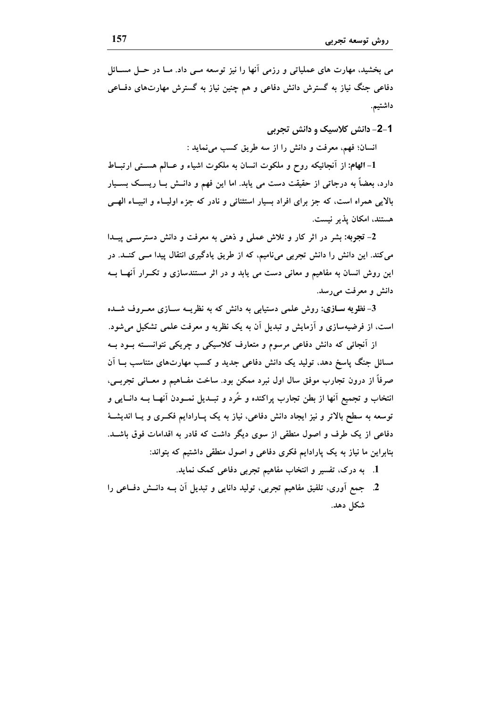می بخشید، مهارت های عملیاتی و رزمی آنها را نیز توسعه مــی داد. مــا در حــل مســائل دفاعی جنگ نیاز به گسترش دانش دفاعی و هم چنین نیاز به گسترش مهارتهای دفــاعی داشتيم.

1-2- دانش کلاسیک و دانش تجربی

انسان؛ فهم، معرفت و دانش را از سه طريق كسب مى نمايد :

1- الهام: از آنجائیکه روح و ملکوت انسان به ملکوت اشیاء و عــالم هســتی ارتبــاط دارد، بعضاً به درجاتی از حقیقت دست می یابد. اما این فهم و دانــش بــا ریســک بســیار بالایی همراه است، که جز برای افراد بسیار استثنائی و نادر که جزء اولیـاء و انبیـاء الهـی هستند، امکان پذیر نیست.

2- تجربه: بشر در اثر کار و تلاش عملی و ذهنی به معرفت و دانش دسترســی پیــدا می کند. این دانش را دانش تجربی میiامیم، که از طریق یادگیری انتقال پیدا مــی کنــد. در این روش انسان به مفاهیم و معانی دست می یابد و در اثر مستندسازی و تکـرار آنهــا بــه دانش و معرفت می رسد.

3- نظویه سـازی: روش علمی دستیابی به دانش که به نظریــه ســازی معــروف شــده است، از فرضیهسازی و آزمایش و تبدیل آن به یک نظریه و معرفت علمی تشکیل می شود.

از آنجائی که دانش دفاعی مرسوم و متعارف کلاسیکی و چریکی نتوانسته بود بـه مسائل جنگ یاسخ دهد، تولید یک دانش دفاعی جدید و کسب مهارتهای متناسب بــا آن صرفاً از درون تجارب موفق سال اول نبرد ممکن بود. ساخت مفــاهیم و معــانی تجربــی، انتخاب و تجمیع آنها از بطن تجارب پراکنده و خُرد و تبــدیل نمــودن آنهــا بــه دانــایی و توسعه به سطح بالاتر و نیز ایجاد دانش دفاعی، نیاز به یک پــارادایم فکــری و یــا اندیشــهٔ دفاعی از یک طرف و اصول منطقی از سوی دیگر داشت که قادر به اقدامات فوق باشــد. بنابراین ما نیاز به یک پارادایم فکری دفاعی و اصول منطقی داشتیم که بتواند:

- 1. به درک، تفسیر و انتخاب مفاهیم تجربی دفاعی کمک نماید.
- 2. جمع أورى، تلفيق مفاهيم تجربي، توليد دانايي و تبديل أن بــه دانــش دفــاعي را شکل دهد.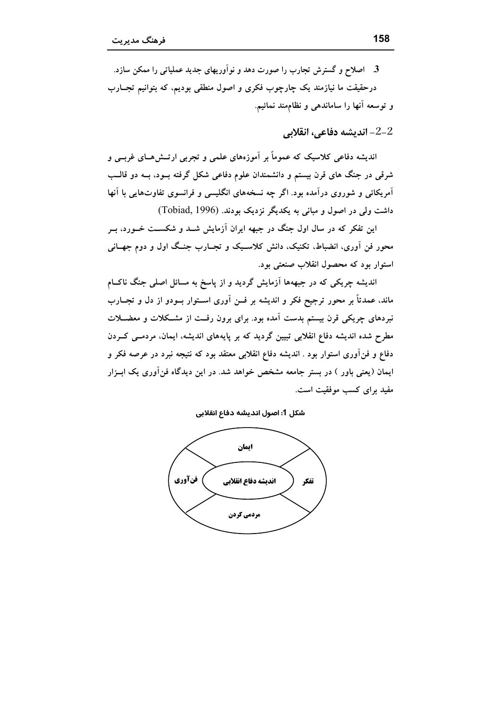3. اصلاح و گسترش تجارب را صورت دهد و نوآوریهای جدید عملیاتی را ممکن سازد. درحقیقت ما نیازمند یک چارچوب فکری و اصول منطقی بودیم، که بتوانیم تجــارب و توسعه آنها را ساماندهی و نظام مند نمائیم.

انديشه دفاعي، انقلابي – $2\text{--}2$ 

اندیشه دفاعی کلاسیک که عموماً بر آموزههای علمی و تجربی ارتــشهــای غربــی و شرقی در جنگ های قرن بیستم و دانشمندان علوم دفاعی شکل گرفته بــود، بــه دو قالــب آمریکائی و شوروی درآمده بود. اگر چه نسخههای انگلیسی و فرانسوی تفاوتهایی با آنها داشت ولی در اصول و مبانی به یکدیگر نزدیک بودند. (Tobiad, 1996)

این تفکر که در سال اول جنگ در جبهه ایران آزمایش شــد و شکســت خــورد، بــر محور فن آوری، انضباط، تکنیک، دانش کلاسـیک و تجــارب جنــگ اول و دوم جهــانی استوار بود که محصول انقلاب صنعتی بود.

اندیشه چریکی که در جبههها آزمایش گردید و از یاسخ به مسائل اصلی جنگ ناکIم ماند، عمدتاً بر محور ترجیح فکر و اندیشه بر فــن آوری اســتوار بــودو از دل و تجــارب نبردهای چریکی قرن بیستم بدست آمده بود. برای برون رفت از مشکلات و معضــلات مطرح شده اندیشه دفاع انقلابی تبیین گردید که بر پایههای اندیشه، ایمان، مردمــی کــردن دفاع و فنآوری استوار بود . اندیشه دفاع انقلابی معتقد بود که نتیجه نبرد در عرصه فکر و ایمان (یعنی باور ) در بستر جامعه مشخص خواهد شد. در این دیدگاه فن[وری یک ابــزار مفید برای کسب موفقیت است.

شكل 1: اصول انديشه دفاع انقلابي

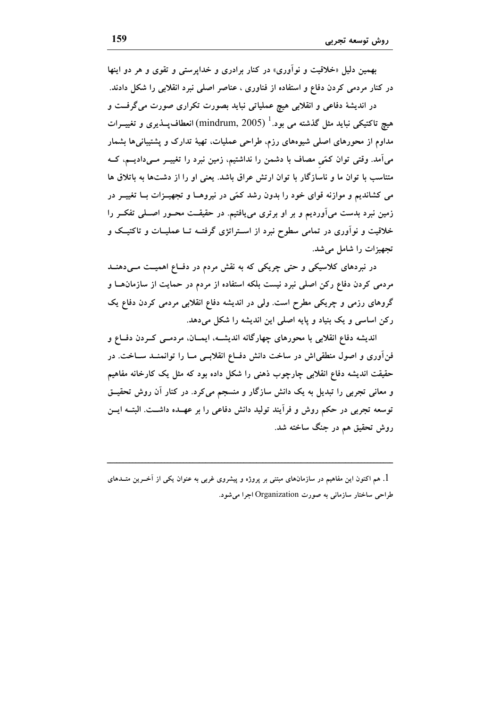بهمین دلیل «خلاقیت و نوآوری» در کنار برادری و خداپرستی و تقوی و هر دو اینها در کنار مردمی کردن دفاع و استفاده از فناوری ، عناصر اصلی نبرد انقلابی را شکل دادند. در اندیشهٔ دفاعی و انقلابی هیچ عملیاتی نباید بصورت تکراری صورت میگرفت و هیچ تاکتیکی نباید مثل گذشته می بود.<sup>ا</sup> (mindrum, 2005) انعطاف پــذیری و تغییــرات مداوم از محورهای اصلی شیوههای رزم، طراحی عملیات، تهیهٔ تدارک و پشتیبانیها بشمار می آمد. وقتی توان کمّی مصاف با دشمن را نداشتیم، زمین نبرد را تغییــر مــیدادیــم، کــه متناسب با توان ما و ناسازگار با توان ارتش عراق باشد. یعنی او را از دشتها به باتلاق ها می کشاندیم و موازنه قوای خود را بدون رشد کمّی در نیروهــا و تجهیــزات بــا تغییــر در زمین نبرد بدست میآوردیم و بر او برتری می یافتیم. در حقیقــت محــور اصـــلی تفکــر را خلاقیت و نوآوری در تمامی سطوح نبرد از اســتراتژی گرفتــه تــا عملیــات و تاکتیــک و تجهيزات را شامل مي شد.

در نبردهای کلاسیکی و حتی چریکی که به نقش مردم در دفــاع اهمیــت مــی(هنــد مردمی کردن دفاع رکن اصلی نبرد نیست بلکه استفاده از مردم در حمایت از سازمانهـا و گروهای رزمی و چریکی مطرح است. ولی در اندیشه دفاع انقلابی مردمی کردن دفاع یک رکن اساسی و یک بنیاد و پایه اصلی این اندیشه را شکل میدهد.

اندیشه دفاع انقلابی با محورهای چهارگانه اندیشـه، ایمـان، مردمــی کــردن دفــاع و فن[وری و اصول منطقی|ش در ساخت دانش دفــاع انقلابــی مــا را توانمنــد ســاخت. در حقیقت اندیشه دفاع انقلابی چارچوب ذهنی را شکل داده بود که مثل یک کارخانه مفاهیم و معانی تجربی را تبدیل به یک دانش سازگار و منسجم می کرد. در کنار آن روش تحقیــق توسعه تجربی در حکم روش و فرآیند تولید دانش دفاعی را بر عهــده داشــت. البتــه ایــن روش تحقیق هم در جنگ ساخته شد.

1. هم اکنون این مفاهیم در سازمانهای مبتنی بر پروژه و پیشروی غربی به عنوان یکی از آخــرین متــدهای طراحی ساختار سازمانی به صورت Organization اجرا می شود.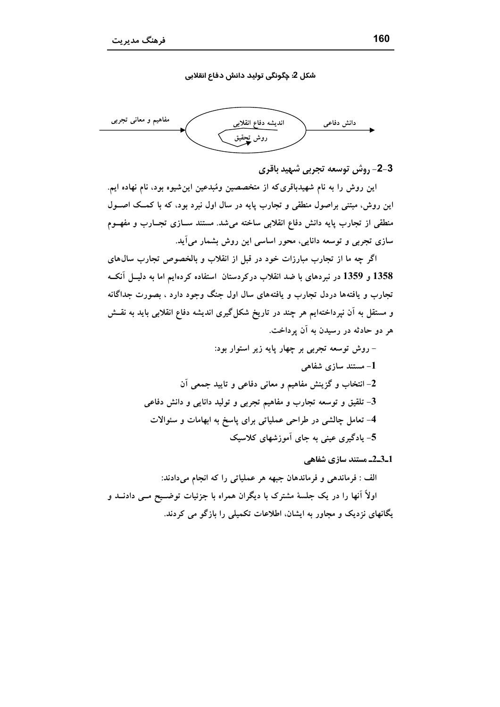شکل 2: چگونگی تولید دانش دفاع انقلابی



3-2- روش توسعه تجربي شهيد باقرى

این روش را به نام شهیدباقری که از متخصصین ومُبدعین این شیوه بود، نام نهاده ایم. این روش، مبتنی براصول منطقی و تجارب پایه در سال اول نبرد بود، که با کمک اصــول منطقی از تجارب پایه دانش دفاع انقلابی ساخته میشد. مستند ســازی تجــارب و مفهــوم سازی تجربی و توسعه دانایی، محور اساسی این روش بشمار میآید.

اگر چه ما از تجارب مبارزات خود در قبل از انقلاب و بالخصوص تجارب سال۵های 1358 و 1359 در نبردهای با ضد انقلاب درکردستان استفاده کردهایم اما به دلیــل آنکــه تجارب و یافتهها دردل تجارب و یافتههای سال اول جنگ وجود دارد ، بصورت جداگانه و مستقل به آن نیرداختهایم هر چند در تاریخ شکل گیری اندیشه دفاع انقلابی باید به نقــش هر دو حادثه در رسیدن به آن پرداخت.

1\_3\_2 مستند سازي شفاهي

الف : فرماندهی و فرماندهان جبهه هر عملیاتی را که انجام میدادند: اولاً آنها را در یک جلسهٔ مشترک با دیگران همراه با جزئیات توضـیح مـبی دادنــد و یگانهای نزدیک و مجاور به ایشان، اطلاعات تکمیلی را بازگو می کردند.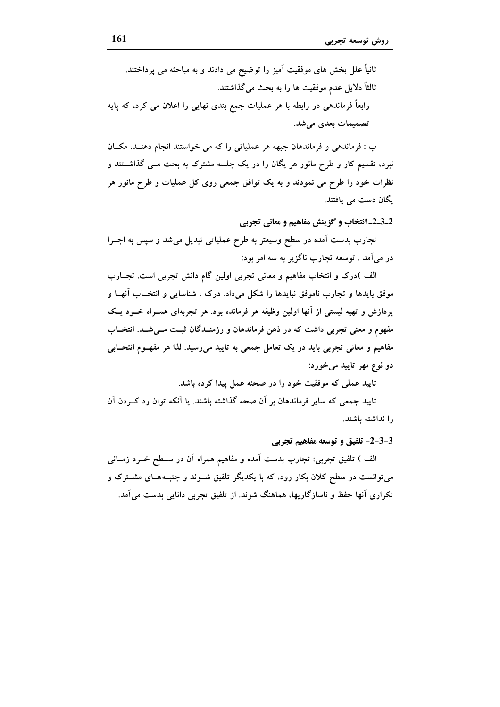ثانیاً علل بخش های موفقیت آمیز را توضیح می دادند و به مباحثه می پرداختند. ثالثاً دلايل عدم موفقيت ها را به بحث مي گذاشتند. رابعاً فرماندهی در رابطه با هر عملیات جمع بندی نهایی را اعلان می کرد، که پایه تصمیمات بعدی می شد.

ب : فرماندهی و فرماندهان جبهه هر عملیاتی را که می خواستند انجام دهنـد، مکـان نبرد، تقسیم کار و طرح مانور هر یگان را در یک جلسه مشترک به بحث مــی گذاشــتند و نظرات خود را طرح می نمودند و به یک توافق جمعی روی کل عملیات و طرح مانور هر بگان دست می بافتند.

2\_3\_2\_ انتخاب و گزینش مفاهیم و معانی تجربی

تجارب بدست آمده در سطح وسیعتر به طرح عملیاتی تبدیل میشد و سپس به اجــرا در می آمد . توسعه تجارب ناگزیر به سه امر بود:

الف )درک و انتخاب مفاهیم و معانی تجربی اولین گام دانش تجربی است. تجــارب موفق بایدها و تجارب ناموفق نبایدها را شکل میداد. درک ، شناسایی و انتخــاب آنهــا و پردازش و تهیه لیستی از آنها اولین وظیفه هر فرمانده بود. هر تجربهای همـراه خــود یــک مفهوم و معنی تجربی داشت که در ذهن فرماندهان و رزمنــدگان ثبــت مــیشــد. انتخــاب مفاهیم و معانی تجربی باید در یک تعامل جمعی به تایید میرسید. لذا هر مفهـوم انتخــابی دو نوع مهر تاييد مي خورد:

تایید عملی که موفقیت خود را در صحنه عمل پیدا کرده باشد.

تایید جمعی که سایر فرماندهان بر آن صحه گذاشته باشند. یا آنکه توان رد کــردن آن را نداشته باشند.

3-3-2- تلفیق و توسعه مفاهیم تجربی

الف ) تلفیق تجربی: تجارب بدست آمده و مفاهیم همراه اَن در ســطح خــرد زمــانی می توانست در سطح کلان بکار رود، که با یکدیگر تلفیق شــوند و جنبــههــای مشــترک و تکراری انها حفظ و ناسازگاریها، هماهنگ شوند. از تلفیق تجربی دانایی بدست می آمد.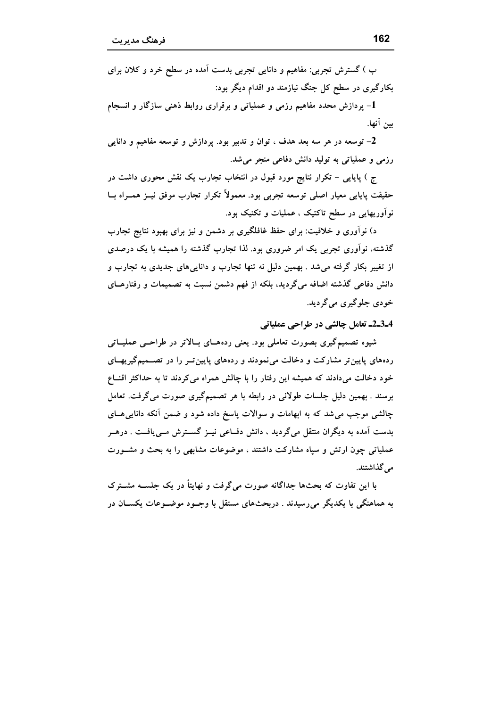ب ) گسترش تجربی: مفاهیم و دانایی تجربی بدست آمده در سطح خرد و کلان برای بکارگیری در سطح کل جنگ نیازمند دو اقدام دیگر بود:

1- پردازش محدد مفاهیم رزمی و عملیاتی و برقراری روابط ذهنی سازگار و انسجام سن آنها.

2- توسعه در هر سه بعد هدف ، توان و تدبیر بود. پردازش و توسعه مفاهیم و دانایی رزمی و عملیاتی به تولید دانش دفاعی منجر میشد.

ج ) پایایی – تکرار نتایج مورد قبول در انتخاب تجارب یک نقش محوری داشت در حقیقت پایایی معیار اصلی توسعه تجربی بود. معمولاً تکرار تجارب موفق نیــز همــراه بــا نواوریهایی در سطح تاکتیک ، عملیات و تکنیک بود.

د) نوآوری و خلاقیت: برای حفظ غافلگیری بر دشمن و نیز برای بهبود نتایج تجارب گذشته، نوآوری تجربی یک امر ضروری بود. لذا تجارب گذشته را همیشه با یک درصدی از تغییر بکار گرفته می شد . بهمین دلیل نه تنها تجارب و دانایی های جدیدی به تجارب و دانش دفاعی گذشته اضافه میگردید، بلکه از فهم دشمن نسبت به تصمیمات و رفتارهــای خو دی جلو گیری می گر دید.

4۔2۔2۔ تعامل چالشی در طراحی عملیاتی

شیوه تصمیمگیری بصورت تعاملی بود. یعنی ردههـای بـالاتر در طراحـبی عملیــاتی ردههای پایین تر مشارکت و دخالت می نمودند و ردههای پایین تـر را در تصـمیم گیریهـای خود دخالت میدادند که همیشه این رفتار را با چالش همراه می کردند تا به حداکثر اقنــاع برسند . بهمین دلیل جلسات طولانی در رابطه با هر تصمیمگیری صورت می گرفت. تعامل چالشی موجب می شد که به ابهامات و سوالات پاسخ داده شود و ضمن آنکه دانایی هــای بدست آمده به دیگران منتقل میگردید ، دانش دفــاعی نیــز گســترش مــییافــت . درهــر عملیاتی چون ارتش و سپاه مشارکت داشتند ، موضوعات مشابهی را به بحث و مشـورت می گذاشتند.

با این تفاوت که بحثها جداگانه صورت می گرفت و نهایتاً در یک جلســه مشــترک به هماهنگی با یکدیگر می رسیدند . دربحثهای مستقل با وجـود موضــوعات یکســان در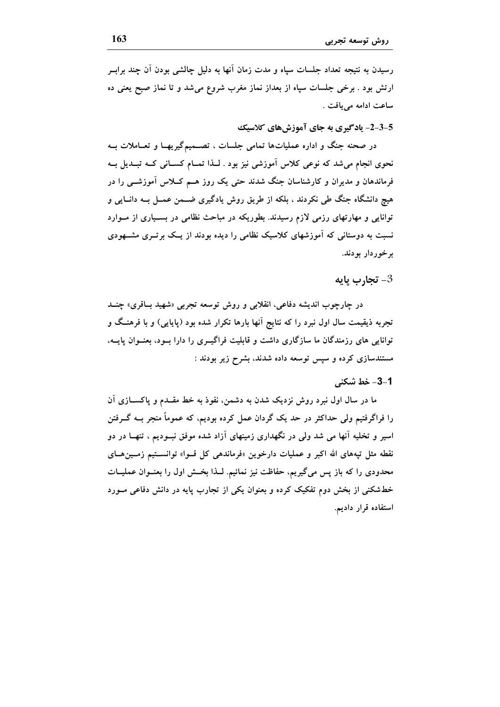رسیدن به نتیجه تعداد جلسات سپاه و مدت زمان آنها به دلیل چالشی بودن آن چند برابـر ارتش بود . برخی جلسات سیاه از بعداز نماز مغرب شروع می شد و تا نماز صبح یعنی ده ساعت ادامه مي يافت .

5-3-2- يادگيري به جاي آموزش هاي كلاسيك

در صحنه جنگ و اداره عملیاتها تمامی جلسات ، تصــمیمگیریهــا و تعــاملات بــه نحوی انجام میشد که نوعی کلاس آموزشی نیز بود . لـذا تمــام کســانی کــه تبــدیل بــه فرماندهان و مدیران و کارشناسان جنگ شدند حتی یک روز هــم کـــلاس آموزشـــی را در هیچ دانشگاه جنگ طی نکردند ، بلکه از طریق روش یادگیری ضــمن عمــل بــه دانــایی و توانایی و مهارتهای رزمی لازم رسیدند. بطوریکه در مباحث نظامی در بسـیاری از مـوارد نسبت به دوستانی که آموزشهای کلاسیک نظامی را دیده بودند از یــک برتــری مشـــهودی برخوردار بودند.

### تجارب يايه- $3$

در چارچوب اندیشه دفاعی، انقلابی و روش توسعه تجربی «شهید باقری» چنــد تجربه ذیقیمت سال اول نبرد را که نتایج اَنها بارها تکرار شده بود (پایایی) و با فرهنـگ و توانایی های رزمندگان ما سازگاری داشت و قابلیت فراگیــری را دارا بــود، بعنــوان یابــه، مستندسازی کرده و سپس توسعه داده شدند، بشرح زیر بودند :

### 1-3- خط شكني

ما در سال اول نبرد روش نزدیک شدن به دشمن، نفوذ به خط مقــدم و پاکســازی آن را فراگرفتیم ولی حداکثر در حد یک گردان عمل کرده بودیم، که عموماً منجر بــه گــرفتن اسیر و تخلیه آنها می شد ولی در نگهداری زمینهای آزاد شده موفق نبــودیم ، تنهــا در دو نقطه مثل تیههای الله اکبر و عملیات دارخوین «فرماندهی کل قــوا» توانســتیم زمــینهــای محدودی را که باز پس میگیریم، حفاظت نیز نمائیم. لـذا بخـش اول را بعنــوان عملیــات خطشکنی از بخش دوم تفکیک کرده و بعنوان یکی از تجارب پایه در دانش دفاعی مـورد استفاده قرار دادیم.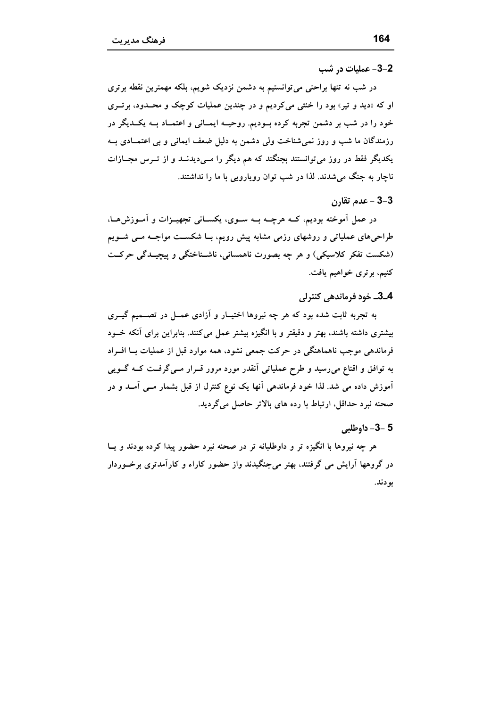#### 2-3- عمليات در شب

در شب نه تنها براحتی می توانستیم به دشمن نزدیک شویم، بلکه مهمترین نقطه برتری او که «دید و تیر» بود را خنثی میکردیم و در چندین عملیات کوچک و محـدود، برتـری خود را در شب بر دشمن تجربه کرده بـودیم. روحیــه ایمــانی و اعتمــاد بــه یکــدیگر در رزمندگان ما شب و روز نمیشناخت ولی دشمن به دلیل ضعف ایمانی و بی اعتمــادی بــه یکدیگر فقط در روز می توانستند بجنگند که هم دیگر را مــیدیدنــد و از تــرس مجــازات ناچار به جنگ میشدند. لذا در شب توان رویارویی با ما را نداشتند.

# 3–3 – عدم تقارن

در عمل آموخته بودیم، کــه هرچــه بــه ســوی، یکســانی تجهیــزات و آمــوزش۵ــا، طراحیهای عملیاتی و روشهای رزمی مشابه پیش رویم، بـا شکســت مواجــه مــی شــویم (شکست تفکر کلاسیکی) و هر چه بصورت ناهمسانی، ناشـناختگی و پیچیـدگی حرکــت کنیم، برتری خواهیم یافت.

#### 4\_3\_ خود فرماندهي كنترلي

به تجربه ثابت شده بود که هر چه نیروها اختیــار و آزادی عمــل در تصـــمیم گیــری بیشتری داشته باشند، بهتر و دقیقتر و با انگیزه بیشتر عمل میکنند. بنابراین برای آنکه خــود فرماندهی موجب ناهماهنگی در حرکت جمعی نشود، همه موارد قبل از عملیات بــا افــراد به توافق و اقناع میرسید و طرح عملیاتی آنقدر مورد مرور قــرار مــیگرفــت کــه گــویی آموزش داده می شد. لذا خود فرماندهی آنها یک نوع کنترل از قبل بشمار مــی آمــد و در صحنه نبرد حداقل، ارتباط با رده های بالاتر حاصل میگردید.

### 5 -3- داوطلبي

هر چه نیروها با انگیزه تر و داوطلبانه تر در صحنه نبرد حضور پیدا کرده بودند و پــا در گروهها آرایش می گرفتند، بهتر می جنگیدند واز حضور کاراء و کارآمدتری برخـوردار بودند.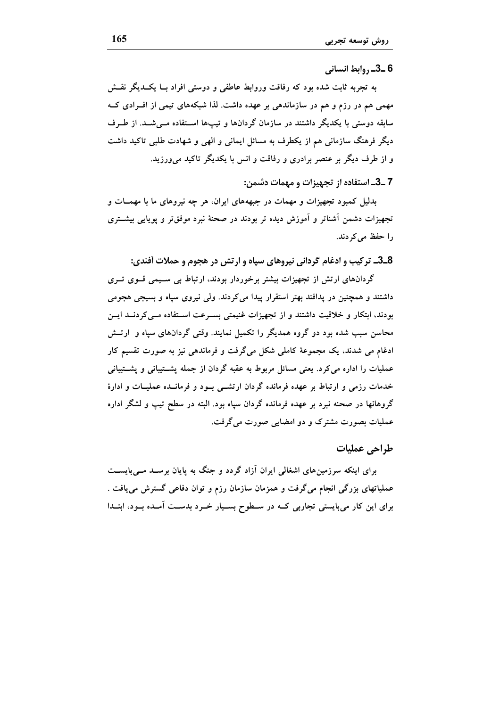6\_3\_, وابط انساني

به تجربه ثابت شده بود که رفاقت وروابط عاطفی و دوستی افراد بــا یکــدیگر نقــش مهمی هم در رزم و هم در سازماندهی بر عهده داشت. لذا شبکههای تیمی از افـرادی کــه سابقه دوستی با یکدیگر داشتند در سازمان گردانها و تیپها اسـتفاده مــیشــد. از طــرف دیگر فرهنگ سازمانی هم از یکطرف به مسائل ایمانی و الهی و شهادت طلبی تاکید داشت و از طرف دیگر بر عنصر برادری و رفاقت و انس با یکدیگر تاکید می ورزید.

7 \_3\_ استفاده از تجهیزات و مهمات دشمن:

بدلیل کمبود تجهیزات و مهمات در جبهههای ایران، هر چه نیروهای ما با مهمــات و تجهیزات دشمن آشناتر و آموزش دیده تر بودند در صحنهٔ نبرد موفقتر و پویایی بیشــتری را حفظ مے کردند.

8\_3\_ ترکیب و ادغام گردانی نیروهای سپاه و ارتش در هجوم و حملات أفندی:

گردانهای ارتش از تجهیزات بیشتر برخوردار بودند، ارتباط بی سـیمی قــوی تــری داشتند و همچنین در پدافند بهتر استقرار پیدا میکردند. ولی نیروی سپاه و بسیجی هجومی بودند، ابتکار و خلاقیت داشتند و از تجهیزات غنیمتی بسـرعت اسـتفاده مـی کردنــد ایــن محاسن سبب شده بود دو گروه همدیگر را تکمیل نمایند. وقتی گردانهای سیاه و ارتــش ادغام می شدند، یک مجموعهٔ کاملی شکل میگرفت و فرماندهی نیز به صورت تقسیم کار عملیات را اداره می کرد. یعنی مسائل مربوط به عقبه گردان از جمله پشـتیبانی و پشـتیبانی خدمات رزمی و ارتباط بر عهده فرمانده گردان ارتشــی بــود و فرمانــده عملیــات و ادارهٔ گروهانها در صحنه نبرد بر عهده فرمانده گردان سیاه بود. البته در سطح تیپ و لشگر اداره عملیات بصورت مشترک و دو امضایی صورت میگرفت.

### طراحي عمليات

برای اینکه سرزمینهای اشغالی ایران آزاد گردد و جنگ به پایان برسـد مـیبایســت عملیاتهای بزرگی انجام میگرفت و همزمان سازمان رزم و توان دفاعی گسترش می یافت . برای این کار میبایستی تجاربی کــه در ســطوح بســیار خــرد بدســت آمــده بــود، ابتــدا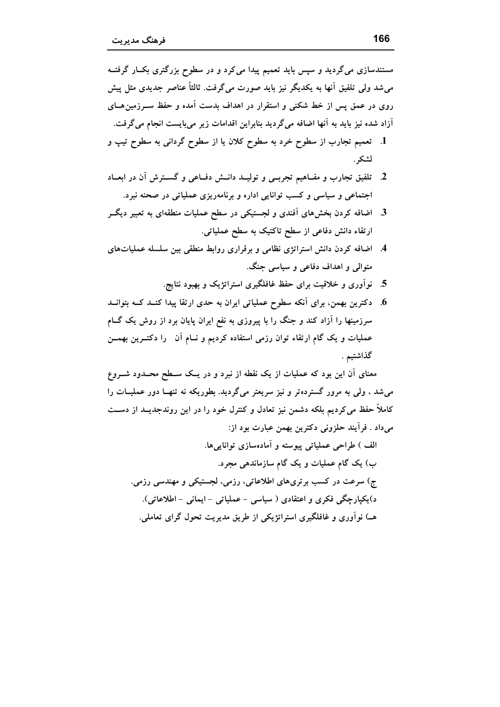مستندسازی میگردید و سپس باید تعمیم پیدا می کرد و در سطوح بزرگتری بکـار گرفتــه می شد ولی تلفیق آنها به یکدیگر نیز باید صورت می گرفت. ثالثاً عناصر جدیدی مثل پیش روی در عمق پس از خط شکنی و استقرار در اهداف بدست آمده و حفظ سـرزمین هــای آزاد شده نیز باید به آنها اضافه میگردید بنابراین اقدامات زیر میبایست انجام میگرفت.

- 1. تعمیم تجارب از سطوح خرد به سطوح کلان یا از سطوح گردانی به سطوح تیپ و لشكر .
- 2. تلفیق تجارب و مفــاهیم تجربــی و تولیــد دانــش دفــاعی و گســترش آن در ابعــاد اجتماعی و سیاسی و کسب توانایی اداره و برنامهریزی عملیاتی در صحنه نبرد.
- 3. اضافه کردن بخشهای آفندی و لجستیکی در سطح عملیات منطقهای به تعبیر دیگــر ارتقاء دانش دفاعی از سطح تاکتیک به سطح عملیاتی.
- 4. اضافه کردن دانش استراتژی نظامی و برقراری روابط منطقی بین سلسله عملیاتهای متوالی و اهداف دفاعی و سیاسی جنگ.
	- 5. نوآوری و خلاقیت برای حفظ غافلگیری استراتژیک و بهبود نتایج.
- 6. دکترین بهمن، برای آنکه سطوح عملیاتی ایران به حدی ارتقا پیدا کنــد کــه بتوانــد سرزمینها را آزاد کند و جنگ را با پیروزی به نفع ایران پایان برد از روش یک گــام عملیات و یک گام ارتقاء توان رزمی استفاده کردیم و نــام آن را دکتــرین بهمــن گذاشتيم .

معنای آن این بود که عملیات از یک نقطه از نبرد و در یــک ســطح محــدود شـــروع می شد ، ولی به مرور گسترده تر و نیز سریعتر میگردید. بطوریکه نه تنهـا دور عملیــات را کاملاً حفظ می کردیم بلکه دشمن نیز تعادل و کنترل خود را در این روندجدیــد از دســت مي داد . فرآيند حلزوني دكترين بهمن عبارت بود از:

الف ) طراحي عملياتي پيوسته و آمادهسازي توانايي ها. ب) یک گام عملیات و یک گام سازماندهی مجرد. ج) سرعت در کسب برتریهای اطلاعاتی، رزمی، لجستیکی و مهندسی رزمی. د)یکپارچگی فکری و اعتقادی ( سیاسی – عملیاتی – ایمانی – اطلاعاتی). هـ) نوآوری و غافلگیری استراتژیکی از طریق مدیریت تحول گرای تعاملی.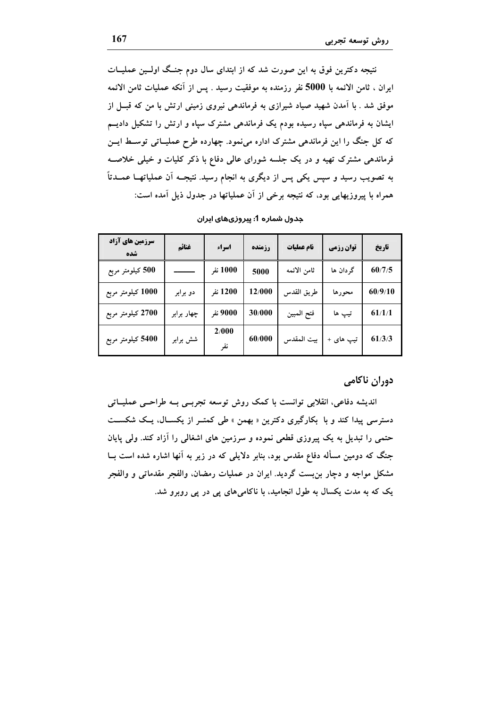نتیجه دکترین فوق به این صورت شد که از ابتدای سال دوم جنـگ اولـین عملیــات ايران ، ثامن الائمه با 5000 نفر رزمنده به موفقيت رسيد . يس از آنكه عمليات ثامن الائمه موفق شد . با آمدن شهید صیاد شیرازی به فرماندهی نیروی زمینی ارتش با من که قبــل از ایشان به فرماندهی سپاه رسیده بودم یک فرماندهی مشترک سپاه و ارتش را تشکیل دادیــم که کل جنگ را این فرماندهی مشترک اداره مینمود. چهارده طرح عملیـاتی توسـط ایــن فرماندهی مشترک تهیه و در یک جلسه شورای عالمی دفاع با ذکر کلیات و خیلی خلاصه به تصویب رسید و سپس یکی پس از دیگری به انجام رسید. نتیجــه آن عملیاتهــا عمــدتاً همراه با پیروزیهایی بود، که نتیجه برخی از آن عملیاتها در جدول ذیل آمده است:

| <b>سرزمین های آزاد</b><br>شده | غنائم      | اسراء        | رزمنده | نام عملیات  | <b>توان رزمی</b> | تاريخ   |
|-------------------------------|------------|--------------|--------|-------------|------------------|---------|
| 500 کیلومتر مربع              |            | 1000 نفر     | 5000   | ثامن الائمه | گر دان ها        | 60/7/5  |
| 1000 کیلومتر مربع             | دو برابر   | 1200 نفر     | 12/000 | طريق القدس  | محورها           | 60/9/10 |
| 2700 کیلومتر مربع             | چهار برابر | 9000 نفر     | 30/000 | فتح المبين  | تيپ ها           | 61/1/1  |
| 5400 کیلومتر مربع             | شش برابر   | 2/000<br>نفر | 60/000 | بيت المقدس  | تيپ های +        | 61/3/3  |

جدول شماره 1: پیروزیهای ایران

### دوران ناكامي

اندیشه دفاعی، انقلابی توانست با کمک روش توسعه تجربسی بـه طراحـبی عملیــاتی دسترسی پیدا کند و با بکارگیری دکترین « بهمن » طی کمتـر از یکســال، یــک شکســت حتمی را تبدیل به یک پیروزی قطعی نموده و سرزمین های اشغالی را آزاد کند. ولی پایان جنگ که دومین مسأله دفاع مقدس بود، بنابر دلایلی که در زیر به آنها اشاره شده است بــا مشکل مواجه و دچار بن بست گردید. ایران در عملیات رمضان، والفجر مقدماتی و والفجر یک که به مدت یکسال به طول انجامید، با ناکامیهای پی در پی روبرو شد.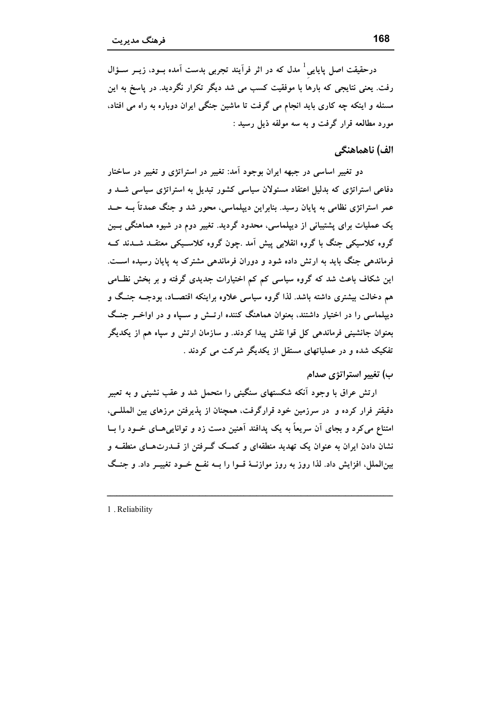درحقیقت اصل پایایی<sup>1</sup> مدل که در اثر فرآیند تجربی بدست آمده بــود، زیــر ســؤال رفت. یعنی نتایجی که بارها با موفقیت کسب می شد دیگر تکرار نگردید. در یاسخ به این مسئله و اینکه چه کاری باید انجام می گرفت تا ماشین جنگی ایران دوباره به راه می افتاد، مورد مطالعه قرار گرفت و به سه مولفه ذیل رسید :

## الف) ناهماهنگی

دو تغییر اساسی در جبهه ایران بوجود آمد: تغییر در استراتژی و تغییر در ساختار دفاعی استراتژی که بدلیل اعتقاد مسئولان سیاسی کشور تبدیل به استراتژی سیاسی شــد و عمر استراتژی نظامی به پایان رسید. بنابراین دیپلماسی، محور شد و جنگ عمدتاً بــه حــد یک عملیات برای پشتیبانی از دیپلماسی، محدود گردید. تغییر دوم در شیوه هماهنگی بــین گروه کلاسیکی جنگ با گروه انقلابی پیش آمد .چون گروه کلاسـیکی معتقــد شــدند کــه فرماندهی جنگ باید به ارتش داده شود و دوران فرماندهی مشترک به پایان رسیده است. این شکاف باعث شد که گروه سیاسی کم کم اختیارات جدیدی گرفته و بر بخش نظــامی هم دخالت بیشتری داشته باشد. لذا گروه سیاسی علاوه براینکه اقتصـاد، بودجــه جنــگ و دیپلماسی را در اختیار داشتند، بعنوان هماهنگ کننده ارتـش و سـپاه و در اواخــر جنـگ بعنوان جانشینی فرماندهی کل قوا نقش پیدا کردند. و سازمان ارتش و سپاه هم از یکدیگر تفکیک شده و در عملیاتهای مستقل از یکدیگر شرکت می کردند .

ب) تغییر استراتژی صدام

ارتش عراق با وجود آنکه شکستهای سنگینی را متحمل شد و عقب نشینی و به تعبیر دقیقتر فرار کرده و ً در سرزمین خود قرارگرفت، همچنان از پذیرفتن مرزهای بین المللــی، امتناع می کرد و بجای آن سریعاً به یک پدافند آهنین دست زد و تواناییهـای خــود را بــا نشان دادن ایران به عنوان یک تهدید منطقهای و کمــک گــرفتن از قــدرتهــای منطقــه و بینالملل، افزایش داد. لذا روز به روز موازنــهٔ قــوا را بــه نفــع خــود تغییــر داد. و جنــگ

1. Reliability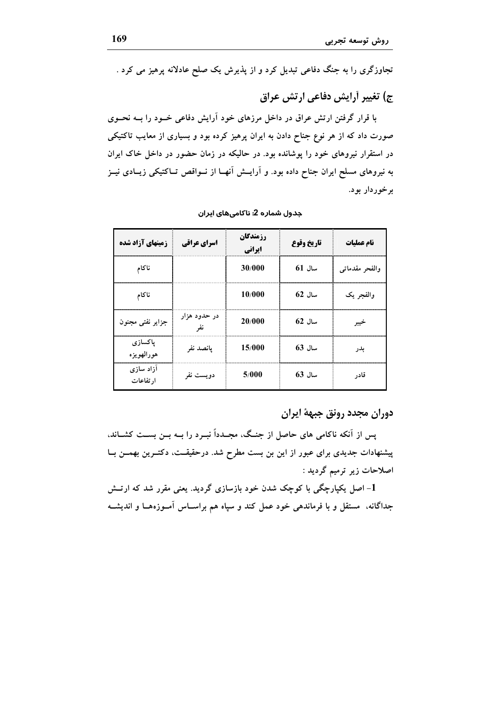تجاوزگری را به جنگ دفاعی تبدیل کرد و از پذیرش یک صلح عادلانه پرهیز می کرد .

ج) تغییر أرایش دفاعی ارتش عراق

با قرار گرفتن ارتش عراق در داخل مرزهای خود آرایش دفاعی خــود را بــه نحــوی صورت داد که از هر نوع جناح دادن به ایران پرهیز کرده بود و بسیاری از معایب تاکتیکی در استقرار نیروهای خود را یوشانده بود. در حالیکه در زمان حضور در داخل خاک ایران به نیروهای مسلح ایران جناح داده بود. و آرایــش آنهــا از نــواقص تــاکتیکی زیــادی نیــز بر خوردار بود.

| زمینهای آزاد شده       | اسرای عراقی  | <b>رزمندگان</b><br>ایرانی | تاريخ وقوع | نام عملیات     |
|------------------------|--------------|---------------------------|------------|----------------|
| ناكام                  |              | 30/000                    | $61$ سال   | والفحر مقدماتي |
| ناكام                  |              | 10/000                    | سال 62     | والفجر يک      |
| جزاير نفتى مجنون       | در حدود هزار | 20/000                    | $62$ سال   |                |
| پاکسازی<br>هورالهويزه  | پانصد نفر    | 15/000                    | سال 63     | بدر            |
| آزاد سازی<br>ا, تفاعات | دويست نفر    | 5/000                     | سال 63     | قادر           |

جدول شماره 2: ناکامیهای ایران

دوران مجدد رونق جبههٔ ایران

یس از آنکه ناکامی های حاصل از جنگ، مجـدداً نبـرد را بــه بــن بســت کشــاند، پیشنهادات جدیدی برای عبور از این بن بست مطرح شد. درحقیقــت، دکتــرین بهمــن بــا اصلاحات زیر ترمیم گردید :

1- اصل یکپارچگی با کوچک شدن خود بازسازی گردید. یعنی مقرر شد که ارتــش جداگانه، مستقل و با فرماندهی خود عمل کند و سپاه هم براســاس آمــوزههــا و اندیشــه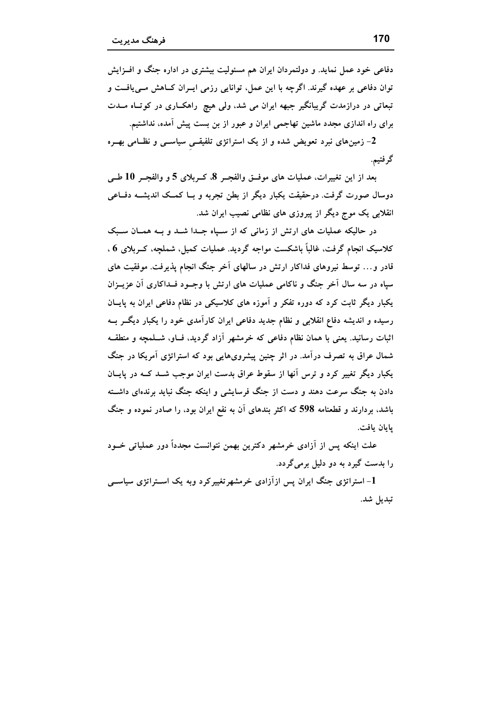دفاعی خود عمل نماید. و دولتمردان ایران هم مسئولیت بیشتری در اداره جنگ و افــزایش توان دفاعی بر عهده گیرند. اگرچه با این عمل، توانایی رزمی ایــران کــاهش مــی،یافــت و تبعاتی در درازمدت گریبانگیر جبهه ایران می شد، ولی هیچ راهکـاری در کوتـاه مــدت برای راه اندازی مجدد ماشین تهاجمی ایران و عبور از بن بست پیش آمده، نداشتیم.

2- زمینهای نبرد تعویض شده و از یک استراتژی تلفیقــی سیاســـی و نظــامی بهــره گرفتيم.

بعد از این تغییرات، عملیات های موفــق والفجــر 8، کــربلای 5 و والفجــر 10 طــی دوسال صورت گرفت. درحقیقت یکبار دیگر از بطن تجربه و بــا کمــک اندیشــه دفــاعی انقلابی یک موج دیگر از پیروزی های نظامی نصیب ایران شد.

در حالیکه عملیات های ارتش از زمانی که از سـپاه جـدا شــد و بــه همــان ســبک كلاسيك انجام گرفت، غالباً باشكست مواجه گرديد. عمليات كميل، شملچه، كـربلاي 6 ، قادر و… توسط نیروهای فداکار ارتش در سالهای آخر جنگ انجام پذیرفت. موفقیت های سیاه در سه سال آخر جنگ و ناکامی عملیات های ارتش با وجــود فــداکاری آن عزیــزان یکبار دیگر ثابت کرد که دوره تفکر و آموزه های کلاسیکی در نظام دفاعی ایران به پایـان رسیده و اندیشه دفاع انقلابی و نظام جدید دفاعی ایران کارآمدی خود را یکبار دیگــر بــه اثبات رسانید. یعنی با همان نظام دفاعی که خرمشهر آزاد گردید، فــاو، شــلمچه و منطقــه شمال عراق به تصرف درآمد. در اثر چنین پیشرویهایی بود که استراتژی آمریکا در جنگ یکبار دیگر تغییر کرد و ترس آنها از سقوط عراق بدست ایران موجب شــد کــه در پایــان دادن به جنگ سرعت دهند و دست از جنگ فرسایشی و اینکه جنگ نباید برندهای داشته باشد، بردارند و قطعنامه 598 که اکثر بندهای آن به نفع ایران بود، را صادر نموده و جنگ ىامان مافت.

علت اینکه پس از آزادی خرمشهر دکترین بهمن نتوانست مجدداً دور عملیاتی خــود را بدست گیرد به دو دلیل برمی گردد.

1- استراتژی جنگ ایران پس ازآزادی خرمشهرتغییرکرد وبه یک اســتراتژی سیاســی تبديل شد.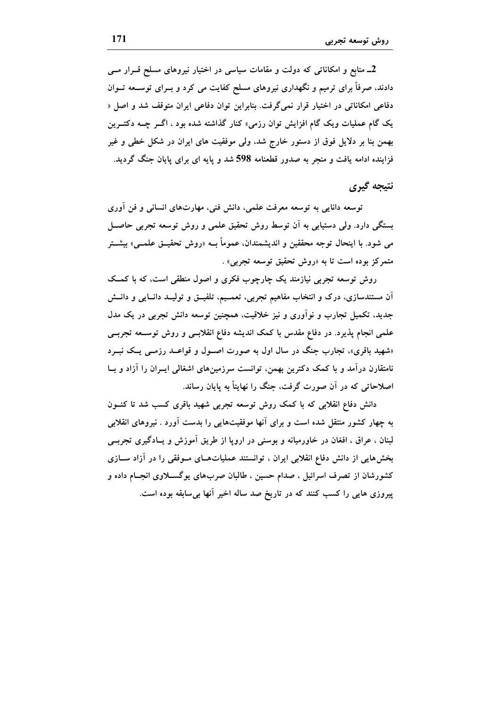2ـ منابع و امکاناتی که دولت و مقامات سیاسی در اختیار نیروهای مسلح قــرار مــی دادند، صرفاً برای ترمیم و نگهداری نیروهای مسلح کفایت می کرد و بــرای توســعه تــوان دفاعی امکاناتی در اختیار قرار نمی گرفت. بنابراین توان دفاعی ایران متوقف شد و اصل « یک گام عملیات ویک گام افزایش توان رزمی» کنار گذاشته شده بود ، اگــر چــه دکتــرین بهمن بنا بر دلایل فوق از دستور خارج شد، ولی موفقیت های ایران در شکل خطی و غیر فزاینده ادامه یافت و منجر به صدور قطعنامه 598 شد و پایه ای برای پایان جنگ گردید.

# نتيجه گيري

توسعه دانایی به توسعه معرفت علمی، دانش فنی، مهارتهای انسانی و فن آوری بستگی دارد. ولی دستیابی به آن توسط روش تحقیق علمی و روش توسعه تجربی حاصـل مي شود. با اينحال توجه محققين و انديشمندان، عموماً بــه «روش تحقيــق علمــي» بيشــتر متمرکز بوده است تا به «روش تحقیق توسعه تجربی» .

روش توسعه تجربی نیازمند یک چارچوب فکری و اصول منطقی است، که با کمک اَن مستندسازی، درک و انتخاب مفاهیم تجربی، تعمــیم، تلفیــق و تولیــد دانــایی و دانــش جدید، تکمیل تجارب و نواوری و نیز خلاقیت، همچنین توسعه دانش تجربی در یک مدل علمی انجام پذیرد. در دفاع مقدس با کمک اندیشه دفاع انقلابسی و روش توسـعه تجربــی «شهید باقری»، تجارب جنگ در سال اول به صورت اصـول و قواعــد رزمــی یــک نبــرد نامتقارن درآمد و با کمک دکترین بهمن، توانست سرزمینهای اشغالی ایــران را آزاد و بــا اصلاحاتی که در آن صورت گرفت، جنگ را نهایتاً به پایان رساند.

دانش دفاع انقلابی که با کمک روش توسعه تجربی شهید باقری کسب شد تا کنــون به چهار کشور منتقل شده است و برای آنها موفقیتهایی را بدست آورد . نیروهای انقلابی لبنان ، عراق ، افغان در خاورمیانه و بوسنی در اروپا از طریق آموزش و یــادگیری تجربــی بخشهایی از دانش دفاع انقلابی ایران ، توانستند عملیاتهـای مـوفقی را در آزاد سـازی کشورشان از تصرف اسرائیل ، صدام حسین ، طالبان صربهای یوگســلاوی انجــام داده و پیروزی هایی را کسب کنند که در تاریخ صد ساله اخیر آنها بی سابقه بوده است.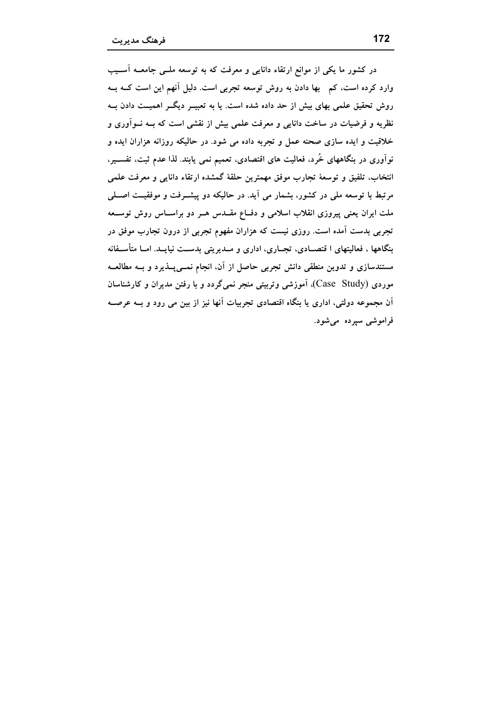در کشور ما یکی از موانع ارتقاء دانایی و معرفت که به توسعه ملــی جامعــه آســیب وارد کرده است، کم بھا دادن به روش توسعه تجربی است. دلیل آنهم این است کــه بــه روش تحقیق علمی بهای بیش از حد داده شده است. یا به تعبیــر دیگــر اهمیــت دادن بــه نظریه و فرضیات در ساخت دانایی و معرفت علمی بیش از نقشی است که بــه نــواَوری و خلاقیت و ایده سازی صحنه عمل و تجربه داده می شود. در حالیکه روزانه هزاران ایده و نوآوری در بنگاههای خُرد، فعالیت های اقتصادی، تعمیم نمی یابند. لذا عدم ثبت، تفســیر، انتخاب، تلفيق و توسعهٔ تجارب موفق مهمترين حلقهٔ گمشده ارتقاء دانايي و معرفت علمي مرتبط با توسعه ملي در كشور، بشمار مي آيد. در حاليكه دو پيشــرفت و موفقيــت اصـــلي ملت ایران یعنی پیروزی انقلاب اسلامی و دفــاع مقــدس هــر دو براســاس روش توســعه تجربی بدست آمده است. روزی نیست که هزاران مفهوم تجربی از درون تجارب موفق در بنگاهها ، فعالیتهای ا قتصــادی، تجــاری، اداری و مــدیریتی بدســت نیایــد. امــا متأســفانه مستندسازی و تدوین منطقی دانش تجربی حاصل از آن، انجام نمــی4پــذیرد و بــه مطالعــه موردی (Case Study)، آموزشی وتربیتی منجر نمی گردد و با رفتن مدیران و کارشناسان اّن مجموعه دولتی، اداری یا بنگاه اقتصادی تجربیات اّنها نیز از بین می رود و بــه عرصــه فراموشی سپرده می شود.